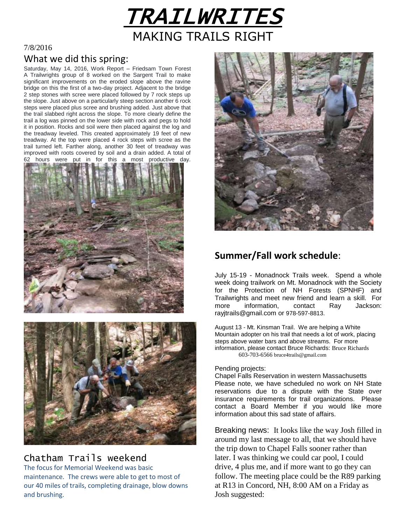

### 7/8/2016

## What we did this spring:

Saturday, May 14, 2016, Work Report – Friedsam Town Forest A Trailwrights group of 8 worked on the Sargent Trail to make significant improvements on the eroded slope above the ravine bridge on this the first of a two-day project. Adjacent to the bridge 2 step stones with scree were placed followed by 7 rock steps up the slope. Just above on a particularly steep section another 6 rock steps were placed plus scree and brushing added. Just above that the trail slabbed right across the slope. To more clearly define the trail a log was pinned on the lower side with rock and pegs to hold it in position. Rocks and soil were then placed against the log and the treadway leveled. This created approximately 19 feet of new treadway. At the top were placed 4 rock steps with scree as the trail turned left. Farther along, another 30 feet of treadway was improved with roots covered by soil and a drain added. A total of hours were put in for this a most productive day.





## Chatham Trails weekend

The focus for Memorial Weekend was basic maintenance. The crews were able to get to most of our 40 miles of trails, completing drainage, blow downs and brushing.



## **Summer/Fall work schedule**:

July 15-19 - Monadnock Trails week. Spend a whole week doing trailwork on Mt. Monadnock with the Society for the Protection of NH Forests (SPNHF) and Trailwrights and meet new friend and learn a skill. For more information, contact Ray Jackson: rayjtrails@gmail.com or 978-597-8813.

August 13 - Mt. Kinsman Trail. We are helping a White Mountain adopter on his trail that needs a lot of work, placing steps above water bars and above streams. For more information, please contact Bruce Richards: Bruce Richards 603-703-6566 bruce4trails@gmail.com

#### Pending projects:

Chapel Falls Reservation in western Massachusetts Please note, we have scheduled no work on NH State reservations due to a dispute with the State over insurance requirements for trail organizations. Please contact a Board Member if you would like more information about this sad state of affairs.

Breaking news: It looks like the way Josh filled in around my last message to all, that we should have the trip down to Chapel Falls sooner rather than later. I was thinking we could car pool, I could drive, 4 plus me, and if more want to go they can follow. The meeting place could be the R89 parking at R13 in Concord, NH, 8:00 AM on a Friday as Josh suggested: